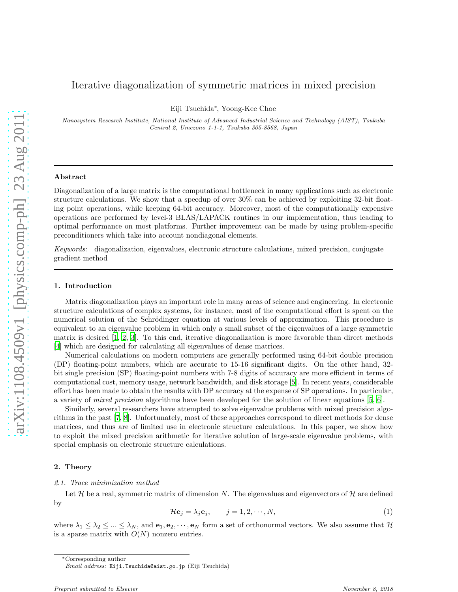# Iterative diagonalization of symmetric matrices in mixed precision

Eiji Tsuchida<sup>∗</sup> , Yoong-Kee Choe

Nanosystem Research Institute, National Institute of Advanced Industrial Science and Technology (AIST), Tsukuba Central 2, Umezono 1-1-1, Tsukuba 305-8568, Japan

### Abstract

Diagonalization of a large matrix is the computational bottleneck in many applications such as electronic structure calculations. We show that a speedup of over 30% can be achieved by exploiting 32-bit floating point operations, while keeping 64-bit accuracy. Moreover, most of the computationally expensive operations are performed by level-3 BLAS/LAPACK routines in our implementation, thus leading to optimal performance on most platforms. Further improvement can be made by using problem-specific preconditioners which take into account nondiagonal elements.

*Keywords:* diagonalization, eigenvalues, electronic structure calculations, mixed precision, conjugate gradient method

## 1. Introduction

Matrix diagonalization plays an important role in many areas of science and engineering. In electronic structure calculations of complex systems, for instance, most of the computational effort is spent on the numerical solution of the Schrödinger equation at various levels of approximation. This procedure is equivalent to an eigenvalue problem in which only a small subset of the eigenvalues of a large symmetric matrix is desired [\[1](#page-7-0), [2,](#page-7-1) [3](#page-7-2)]. To this end, iterative diagonalization is more favorable than direct methods [\[4\]](#page-7-3) which are designed for calculating all eigenvalues of dense matrices.

Numerical calculations on modern computers are generally performed using 64-bit double precision (DP) floating-point numbers, which are accurate to 15-16 significant digits. On the other hand, 32 bit single precision (SP) floating-point numbers with 7-8 digits of accuracy are more efficient in terms of computational cost, memory usage, network bandwidth, and disk storage [\[5\]](#page-7-4). In recent years, considerable effort has been made to obtain the results with DP accuracy at the expense of SP operations. In particular, a variety of *mixed precision* algorithms have been developed for the solution of linear equations [\[5](#page-7-4), [6\]](#page-8-0).

Similarly, several researchers have attempted to solve eigenvalue problems with mixed precision algorithms in the past [\[7,](#page-8-1) [8\]](#page-8-2). Unfortunately, most of these approaches correspond to direct methods for dense matrices, and thus are of limited use in electronic structure calculations. In this paper, we show how to exploit the mixed precision arithmetic for iterative solution of large-scale eigenvalue problems, with special emphasis on electronic structure calculations.

### <span id="page-0-1"></span>2. Theory

#### *2.1. Trace minimization method*

Let  $\mathcal H$  be a real, symmetric matrix of dimension N. The eigenvalues and eigenvectors of  $\mathcal H$  are defined by

<span id="page-0-0"></span>
$$
\mathcal{H}\mathbf{e}_j = \lambda_j \mathbf{e}_j, \qquad j = 1, 2, \cdots, N,
$$
\n(1)

where  $\lambda_1 \leq \lambda_2 \leq ... \leq \lambda_N$ , and  $e_1, e_2, \dots, e_N$  form a set of orthonormal vectors. We also assume that H is a sparse matrix with  $O(N)$  nonzero entries.

<sup>∗</sup>Corresponding author

Email address: Eiji.Tsuchida@aist.go.jp (Eiji Tsuchida)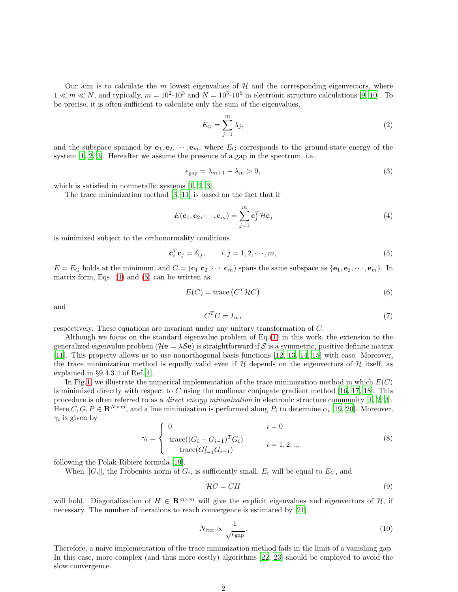Our aim is to calculate the  $m$  lowest eigenvalues of  $H$  and the corresponding eigenvectors, where  $1 \ll m \ll N$ , and typically,  $m = 10^2 \text{-} 10^3$  $m = 10^2 \text{-} 10^3$  $m = 10^2 \text{-} 10^3$  and  $N = 10^5 \text{-} 10^6$  in electronic structure calculations [\[9](#page-8-3), 10]. To be precise, it is often sufficient to calculate only the sum of the eigenvalues,

$$
E_{\mathcal{G}} = \sum_{j=1}^{m} \lambda_j,\tag{2}
$$

and the subspace spanned by  $e_1, e_2, \dots, e_m$ , where  $E_G$  corresponds to the ground-state energy of the system [\[1,](#page-7-0) [2,](#page-7-1) [3\]](#page-7-2). Hereafter we assume the presence of a gap in the spectrum, i.e.,

$$
\epsilon_{\rm gap} = \lambda_{m+1} - \lambda_m > 0,\tag{3}
$$

which is satisfied in nonmetallic systems [\[1,](#page-7-0) [2,](#page-7-1) [3](#page-7-2)].

The trace minimization method [\[3,](#page-7-2) [11\]](#page-8-5) is based on the fact that if

<span id="page-1-0"></span>
$$
E(\mathbf{c}_1, \mathbf{c}_2, \cdots, \mathbf{c}_m) = \sum_{j=1}^m \mathbf{c}_j^T \mathcal{H} \mathbf{c}_j
$$
(4)

is minimized subject to the orthonormality conditions

<span id="page-1-1"></span>
$$
\mathbf{c}_i^T \mathbf{c}_j = \delta_{ij}, \qquad i, j = 1, 2, \cdots, m,
$$
\n<sup>(5)</sup>

 $E = E_G$  holds at the minimum, and  $C = (\mathbf{c}_1 \mathbf{c}_2 \cdots \mathbf{c}_m)$  spans the same subspace as  $\{\mathbf{e}_1, \mathbf{e}_2, \cdots, \mathbf{e}_m\}$ . In matrix form, Eqs.  $(4)$  and  $(5)$  can be written as

$$
E(C) = \text{trace}\left(C^T \mathcal{H} C\right) \tag{6}
$$

and

$$
C^T C = I_m,\tag{7}
$$

respectively. These equations are invariant under any unitary transformation of C.

Although we focus on the standard eigenvalue problem of Eq.[\(1\)](#page-0-0) in this work, the extension to the generalized eigenvalue problem ( $\mathcal{H}e = \lambda \mathcal{S}e$ ) is straightforward if S is a symmetric, positive definite matrix [\[11\]](#page-8-5). This property allows us to use nonorthogonal basis functions [\[12,](#page-8-6) [13,](#page-8-7) [14](#page-8-8), [15\]](#page-8-9) with ease. Moreover, the trace minimization method is equally valid even if  $H$  depends on the eigenvectors of  $H$  itself, as explained in §9.4.3.4 of Ref.[\[4\]](#page-7-3).

In Fig[.1,](#page-2-0) we illustrate the numerical implementation of the trace minimization method in which  $E(C)$ is minimized directly with respect to  $C$  using the nonlinear conjugate gradient method [\[16,](#page-8-10) [17](#page-8-11), [18](#page-8-12)]. This procedure is often referred to as a *direct energy minimization* in electronic structure community [\[1](#page-7-0), [2](#page-7-1), [3\]](#page-7-2). Here  $C, G, P \in \mathbf{R}^{N \times m}$ , and a line minimization is performed along  $P_i$  to determine  $\alpha_i$  [\[19,](#page-8-13) [20\]](#page-8-14). Moreover,  $\gamma_i$  is given by

$$
\gamma_i = \begin{cases} 0 & i = 0 \\ \frac{\text{trace}((G_i - G_{i-1})^T G_i)}{\text{trace}(G_{i-1}^T G_{i-1})} & i = 1, 2, ... \end{cases}
$$
 (8)

following the Polak-Ribiere formula [\[19\]](#page-8-13).

When  $||G_i||$ , the Frobenius norm of  $G_i$ , is sufficiently small,  $E_i$  will be equal to  $E_G$ , and

$$
\mathcal{H}C = CH \tag{9}
$$

will hold. Diagonalization of  $H \in \mathbb{R}^{m \times m}$  will give the explicit eigenvalues and eigenvectors of H, if necessary. The number of iterations to reach convergence is estimated by [\[21](#page-8-15)]

$$
N_{\text{iter}} \propto \frac{1}{\sqrt{\epsilon_{\text{gap}}}}.\tag{10}
$$

Therefore, a naive implementation of the trace minimization method fails in the limit of a vanishing gap. In this case, more complex (and thus more costly) algorithms [\[22,](#page-8-16) [23](#page-8-17)] should be employed to avoid the slow convergence.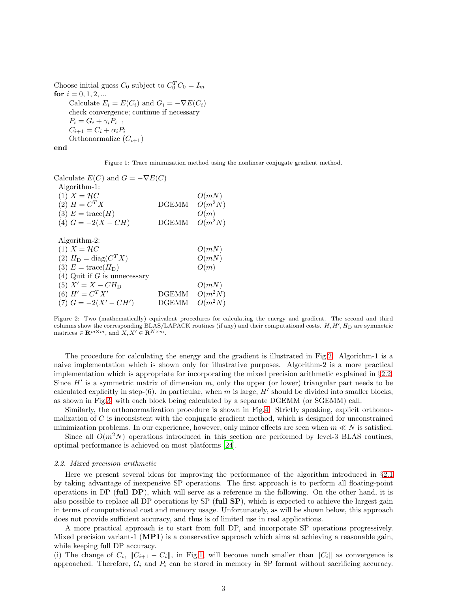Choose initial guess  $C_0$  subject to  $C_0^T C_0 = I_m$ for  $i = 0, 1, 2, ...$ Calculate  $E_i = E(C_i)$  and  $G_i = -\nabla E(C_i)$ check convergence; continue if necessary  $P_i = G_i + \gamma_i P_{i-1}$  $C_{i+1} = C_i + \alpha_i P_i$ Orthonormalize  $(C_{i+1})$ 

end

<span id="page-2-0"></span>Figure 1: Trace minimization method using the nonlinear conjugate gradient method.

| Calculate $E(C)$ and $G = -\nabla E(C)$ |              |           |
|-----------------------------------------|--------------|-----------|
| Algorithm-1:                            |              |           |
| $(1)$ $X = \mathcal{H}C$                |              | O(mN)     |
| $(2) H = C^{T} X$                       | <b>DGEMM</b> | $O(m^2N)$ |
| $(3) E = \text{trace}(H)$               |              | O(m)      |
| (4) $G = -2(X - CH)$                    | DGEMM        | $O(m^2N)$ |
| Algorithm-2:                            |              |           |
| $(1) X = \mathcal{H}C$                  |              | O(mN)     |
| (2) $H_D = \text{diag}(C^T X)$          |              | O(mN)     |
| (3) $E = \text{trace}(H_D)$             |              | O(m)      |
| $(4)$ Quit if G is unnecessary          |              |           |
| (5) $X' = X - CH_D$                     |              | O(mN)     |
| (6) $H' = C^T X'$                       | DGEMM        | $O(m^2N)$ |
| $(7) G = -2(X' - CH')$                  | DGEMM        | $O(m^2N)$ |

<span id="page-2-1"></span>Figure 2: Two (mathematically) equivalent procedures for calculating the energy and gradient. The second and third columns show the corresponding  $BLAS/LAPACK$  routines (if any) and their computational costs.  $H, H', H_D$  are symmetric matrices  $\in \mathbf{R}^{m \times m}$ , and  $X, X' \in \mathbf{R}^{N \times m}$ .

The procedure for calculating the energy and the gradient is illustrated in Fig[.2.](#page-2-1) Algorithm-1 is a naive implementation which is shown only for illustrative purposes. Algorithm-2 is a more practical implementation which is appropriate for incorporating the mixed precision arithmetic explained in §[2.2.](#page-2-2) Since  $H'$  is a symmetric matrix of dimension  $m$ , only the upper (or lower) triangular part needs to be calculated explicitly in step-(6). In particular, when m is large,  $H'$  should be divided into smaller blocks, as shown in Fig[.3,](#page-3-0) with each block being calculated by a separate DGEMM (or SGEMM) call.

Similarly, the orthonormalization procedure is shown in Fig[.4.](#page-3-1) Strictly speaking, explicit orthonormalization of  $C$  is inconsistent with the conjugate gradient method, which is designed for unconstrained minimization problems. In our experience, however, only minor effects are seen when  $m \ll N$  is satisfied.

Since all  $O(m^2N)$  operations introduced in this section are performed by level-3 BLAS routines, optimal performance is achieved on most platforms [\[24\]](#page-8-18).

#### <span id="page-2-2"></span>*2.2. Mixed precision arithmetic*

Here we present several ideas for improving the performance of the algorithm introduced in §[2.1](#page-0-1) by taking advantage of inexpensive SP operations. The first approach is to perform all floating-point operations in DP (full DP), which will serve as a reference in the following. On the other hand, it is also possible to replace all DP operations by SP (full SP), which is expected to achieve the largest gain in terms of computational cost and memory usage. Unfortunately, as will be shown below, this approach does not provide sufficient accuracy, and thus is of limited use in real applications.

A more practical approach is to start from full DP, and incorporate SP operations progressively. Mixed precision variant-1  $(MP1)$  is a conservative approach which aims at achieving a reasonable gain, while keeping full DP accuracy.

(i) The change of  $C_i$ ,  $||C_{i+1} - C_i||$ , in Fig[.1,](#page-2-0) will become much smaller than  $||C_i||$  as convergence is approached. Therefore,  $G_i$  and  $P_i$  can be stored in memory in SP format without sacrificing accuracy.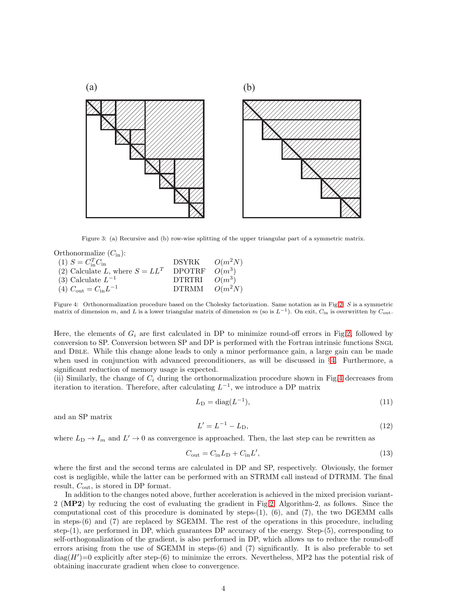

<span id="page-3-0"></span>Figure 3: (a) Recursive and (b) row-wise splitting of the upper triangular part of a symmetric matrix.

Orthonormalize 
$$
(C_{\text{in}})
$$
:

\n\n- (1)  $S = C_{\text{in}}^T C_{\text{in}}$
\n- (2) Calculate  $L$ , where  $S = LL^T$
\n- DPOTRF  $O(m^3)$
\n- (3) Calculate  $L^{-1}$
\n- DTRTRI  $O(m^3)$
\n- (4)  $C_{\text{out}} = C_{\text{in}} L^{-1}$
\n
\nDTRMM  $O(m^2 N)$ 

<span id="page-3-1"></span>Figure 4: Orthonormalization procedure based on the Cholesky factorization. Same notation as in Fig[.2.](#page-2-1) S is a symmetric matrix of dimension m, and L is a lower triangular matrix of dimension m (so is  $L^{-1}$ ). On exit,  $C_{\text{in}}$  is overwritten by  $C_{\text{out}}$ .

Here, the elements of  $G_i$  are first calculated in DP to minimize round-off errors in Fig[.2,](#page-2-1) followed by conversion to SP. Conversion between SP and DP is performed with the Fortran intrinsic functions Sngl and Dble. While this change alone leads to only a minor performance gain, a large gain can be made when used in conjunction with advanced preconditioners, as will be discussed in §[4.](#page-6-0) Furthermore, a significant reduction of memory usage is expected.

(ii) Similarly, the change of  $C_i$  during the orthonormalization procedure shown in Fig[.4](#page-3-1) decreases from iteration to iteration. Therefore, after calculating  $L^{-1}$ , we introduce a DP matrix

$$
L_{\mathcal{D}} = \text{diag}(L^{-1}),\tag{11}
$$

and an SP matrix

$$
L' = L^{-1} - L_D,
$$
\n(12)

where  $L_D \to I_m$  and  $L' \to 0$  as convergence is approached. Then, the last step can be rewritten as

$$
C_{\text{out}} = C_{\text{in}} L_{\text{D}} + C_{\text{in}} L',\tag{13}
$$

where the first and the second terms are calculated in DP and SP, respectively. Obviously, the former cost is negligible, while the latter can be performed with an STRMM call instead of DTRMM. The final result,  $C_{\text{out}}$ , is stored in DP format.

In addition to the changes noted above, further acceleration is achieved in the mixed precision variant-2 (MP2) by reducing the cost of evaluating the gradient in Fig[.2,](#page-2-1) Algorithm-2, as follows. Since the computational cost of this procedure is dominated by steps- $(1)$ ,  $(6)$ , and  $(7)$ , the two DGEMM calls in steps-(6) and (7) are replaced by SGEMM. The rest of the operations in this procedure, including step-(1), are performed in DP, which guarantees DP accuracy of the energy. Step-(5), corresponding to self-orthogonalization of the gradient, is also performed in DP, which allows us to reduce the round-off errors arising from the use of SGEMM in steps-(6) and (7) significantly. It is also preferable to set  $diag(H')=0$  explicitly after step-(6) to minimize the errors. Nevertheless, MP2 has the potential risk of obtaining inaccurate gradient when close to convergence.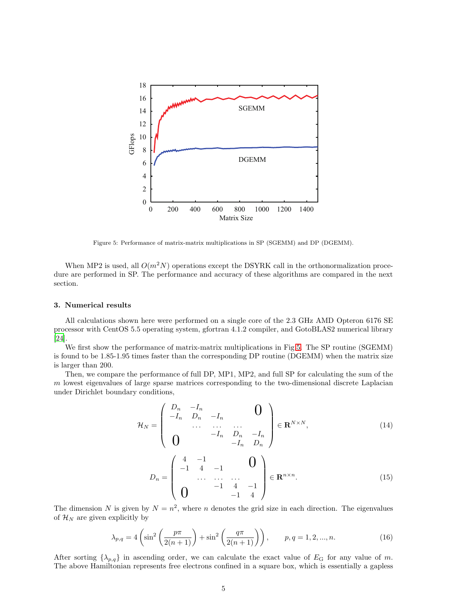

<span id="page-4-0"></span>Figure 5: Performance of matrix-matrix multiplications in SP (SGEMM) and DP (DGEMM).

When MP2 is used, all  $O(m^2N)$  operations except the DSYRK call in the orthonormalization procedure are performed in SP. The performance and accuracy of these algorithms are compared in the next section.

## 3. Numerical results

All calculations shown here were performed on a single core of the 2.3 GHz AMD Opteron 6176 SE processor with CentOS 5.5 operating system, gfortran 4.1.2 compiler, and GotoBLAS2 numerical library [\[24\]](#page-8-18).

We first show the performance of matrix-matrix multiplications in Fig[.5.](#page-4-0) The SP routine (SGEMM) is found to be 1.85-1.95 times faster than the corresponding DP routine (DGEMM) when the matrix size is larger than 200.

Then, we compare the performance of full DP, MP1, MP2, and full SP for calculating the sum of the m lowest eigenvalues of large sparse matrices corresponding to the two-dimensional discrete Laplacian under Dirichlet boundary conditions,

<span id="page-4-1"></span>
$$
\mathcal{H}_{N} = \begin{pmatrix} D_{n} & -I_{n} & & & \mathbf{0} \\ -I_{n} & D_{n} & -I_{n} & & \dots & \dots \\ & \cdots & \cdots & \cdots & \cdots & \vdots \\ \mathbf{0} & & -I_{n} & D_{n} & -I_{n} \\ \end{pmatrix} \in \mathbf{R}^{N \times N}, \tag{14}
$$

$$
D_n = \begin{pmatrix} 4 & -1 & & & 0 \\ -1 & 4 & -1 & & 0 \\ & \cdots & \cdots & \cdots & 4 & -1 \\ 0 & & & -1 & 4 & -1 \\ 0 & & & & -1 & 4 \end{pmatrix} \in \mathbf{R}^{n \times n}.
$$
 (15)

The dimension N is given by  $N = n^2$ , where n denotes the grid size in each direction. The eigenvalues of  $\mathcal{H}_N$  are given explicitly by

$$
\lambda_{p,q} = 4 \left( \sin^2 \left( \frac{p\pi}{2(n+1)} \right) + \sin^2 \left( \frac{q\pi}{2(n+1)} \right) \right), \qquad p, q = 1, 2, ..., n. \tag{16}
$$

After sorting  $\{\lambda_{p,q}\}\$ in ascending order, we can calculate the exact value of  $E_G$  for any value of m. The above Hamiltonian represents free electrons confined in a square box, which is essentially a gapless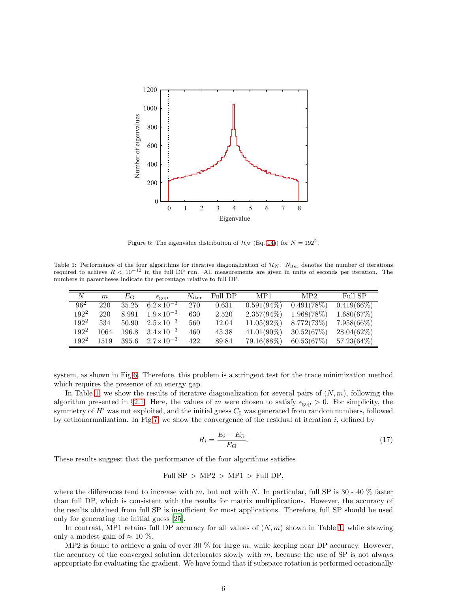

<span id="page-5-0"></span>Figure 6: The eigenvalue distribution of  $\mathcal{H}_N$  (Eq.[\(14\)](#page-4-1)) for  $N = 192^2$ .

Table 1: Performance of the four algorithms for iterative diagonalization of  $\mathcal{H}_N$ .  $N_{\text{iter}}$  denotes the number of iterations required to achieve  $R < 10^{-12}$  in the full DP run. All measurements are given in units of seconds per iteration. The numbers in parentheses indicate the percentage relative to full DP.

<span id="page-5-1"></span>

| N       | $\,m$ | $E_{\mathrm{G}}$ | $\epsilon_{\rm gap}$ | $N_{\rm iter}$ | Full DP | MP1           | MP2        | Full SP       |
|---------|-------|------------------|----------------------|----------------|---------|---------------|------------|---------------|
| $96^2$  | 220   | 35.25            | $6.2\times10^{-3}$   | 270            | 0.631   | $0.591(94\%)$ | 0.491(78%) | $0.419(66\%)$ |
| $192^2$ | 220   | 8.991            | $1.9 \times 10^{-3}$ | 630            | 2.520   | $2.357(94\%)$ | 1.968(78%) | 1.680(67%)    |
| $192^2$ | 534   | 50.90            | $2.5 \times 10^{-3}$ | 560            | 12.04   | $11.05(92\%)$ | 8.772(73%) | $7.958(66\%)$ |
| $192^2$ | 1064  | 196.8            | $3.4 \times 10^{-3}$ | 460            | 45.38   | $41.01(90\%)$ | 30.52(67%) | 28.04(62%)    |
| $192^2$ | 1519  | 395.6            | $2.7 \times 10^{-3}$ | 422            | 89.84   | $79.16(88\%)$ | 60.53(67%) | $57.23(64\%)$ |

system, as shown in Fig[.6.](#page-5-0) Therefore, this problem is a stringent test for the trace minimization method which requires the presence of an energy gap.

In Table [1,](#page-5-1) we show the results of iterative diagonalization for several pairs of  $(N, m)$ , following the algorithm presented in §[2.1.](#page-0-1) Here, the values of m were chosen to satisfy  $\epsilon_{\rm gap} > 0$ . For simplicity, the symmetry of  $H'$  was not exploited, and the initial guess  $C_0$  was generated from random numbers, followed by orthonormalization. In Fig[.7,](#page-6-1) we show the convergence of the residual at iteration  $i$ , defined by

$$
R_i = \frac{E_i - E_{\rm G}}{E_{\rm G}}.\tag{17}
$$

These results suggest that the performance of the four algorithms satisfies

Full  $SP > MP2 > MP1 > Full DP$ ,

where the differences tend to increase with m, but not with N. In particular, full SP is  $30 - 40$  % faster than full DP, which is consistent with the results for matrix multiplications. However, the accuracy of the results obtained from full SP is insufficient for most applications. Therefore, full SP should be used only for generating the initial guess [\[25\]](#page-9-0).

In contrast, MP1 retains full DP accuracy for all values of  $(N, m)$  shown in Table [1,](#page-5-1) while showing only a modest gain of  $\approx 10\%$ .

MP2 is found to achieve a gain of over 30  $\%$  for large m, while keeping near DP accuracy. However, the accuracy of the converged solution deteriorates slowly with  $m$ , because the use of SP is not always appropriate for evaluating the gradient. We have found that if subspace rotation is performed occasionally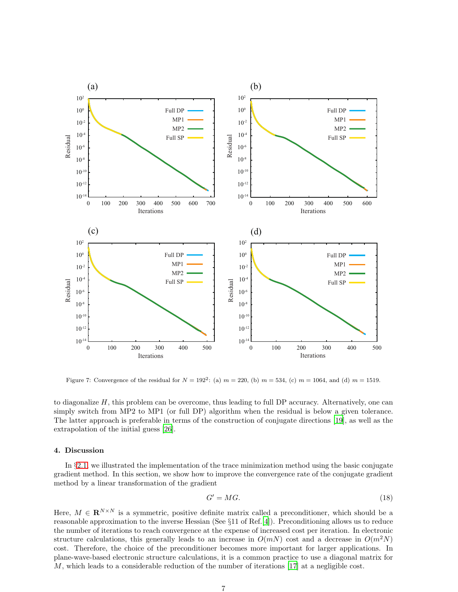

<span id="page-6-1"></span>Figure 7: Convergence of the residual for  $N = 192^2$ : (a)  $m = 220$ , (b)  $m = 534$ , (c)  $m = 1064$ , and (d)  $m = 1519$ .

to diagonalize  $H$ , this problem can be overcome, thus leading to full DP accuracy. Alternatively, one can simply switch from MP2 to MP1 (or full DP) algorithm when the residual is below a given tolerance. The latter approach is preferable in terms of the construction of conjugate directions [\[19](#page-8-13)], as well as the extrapolation of the initial guess [\[26\]](#page-9-1).

# <span id="page-6-0"></span>4. Discussion

In §[2.1,](#page-0-1) we illustrated the implementation of the trace minimization method using the basic conjugate gradient method. In this section, we show how to improve the convergence rate of the conjugate gradient method by a linear transformation of the gradient

<span id="page-6-2"></span>
$$
G' = MG.\t\t(18)
$$

Here,  $M \in \mathbf{R}^{N \times N}$  is a symmetric, positive definite matrix called a preconditioner, which should be a reasonable approximation to the inverse Hessian (See §11 of Ref.[\[4](#page-7-3)]). Preconditioning allows us to reduce the number of iterations to reach convergence at the expense of increased cost per iteration. In electronic structure calculations, this generally leads to an increase in  $O(mN)$  cost and a decrease in  $O(m^2N)$ cost. Therefore, the choice of the preconditioner becomes more important for larger applications. In plane-wave-based electronic structure calculations, it is a common practice to use a diagonal matrix for M, which leads to a considerable reduction of the number of iterations [\[17\]](#page-8-11) at a negligible cost.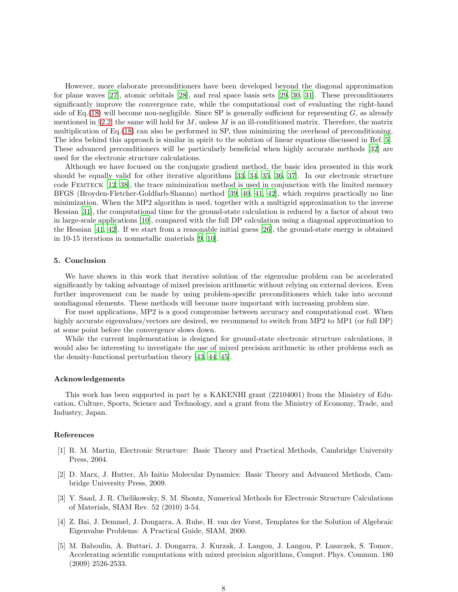However, more elaborate preconditioners have been developed beyond the diagonal approximation for plane waves [\[27\]](#page-9-2), atomic orbitals [\[28](#page-9-3)], and real space basis sets [\[29](#page-9-4), [30,](#page-9-5) [31\]](#page-9-6). These preconditioners significantly improve the convergence rate, while the computational cost of evaluating the right-hand side of Eq.[\(18\)](#page-6-2) will become non-negligible. Since SP is generally sufficient for representing  $G$ , as already mentioned in §[2.2,](#page-2-2) the same will hold for  $M$ , unless  $M$  is an ill-conditioned matrix. Therefore, the matrix multiplication of Eq.[\(18\)](#page-6-2) can also be performed in SP, thus minimizing the overhead of preconditioning. The idea behind this approach is similar in spirit to the solution of linear equations discussed in Ref.[\[5\]](#page-7-4). These advanced preconditioners will be particularly beneficial when highly accurate methods [\[32](#page-9-7)] are used for the electronic structure calculations.

Although we have focused on the conjugate gradient method, the basic idea presented in this work should be equally valid for other iterative algorithms [\[33,](#page-9-8) [34,](#page-9-9) [35,](#page-9-10) [36,](#page-9-11) [37\]](#page-9-12). In our electronic structure code Femteck [\[12,](#page-8-6) [38\]](#page-9-13), the trace minimization method is used in conjunction with the limited memory BFGS (Broyden-Fletcher-Goldfarb-Shanno) method [\[39](#page-9-14), [40](#page-9-15), [41,](#page-9-16) [42\]](#page-9-17), which requires practically no line minimization. When the MP2 algorithm is used, together with a multigrid approximation to the inverse Hessian [\[31\]](#page-9-6), the computational time for the ground-state calculation is reduced by a factor of about two in large-scale applications [\[10](#page-8-4)], compared with the full DP calculation using a diagonal approximation to the Hessian [\[41](#page-9-16), [42\]](#page-9-17). If we start from a reasonable initial guess [\[26\]](#page-9-1), the ground-state energy is obtained in 10-15 iterations in nonmetallic materials [\[9,](#page-8-3) [10\]](#page-8-4).

# 5. Conclusion

We have shown in this work that iterative solution of the eigenvalue problem can be accelerated significantly by taking advantage of mixed precision arithmetic without relying on external devices. Even further improvement can be made by using problem-specific preconditioners which take into account nondiagonal elements. These methods will become more important with increasing problem size.

For most applications, MP2 is a good compromise between accuracy and computational cost. When highly accurate eigenvalues/vectors are desired, we recommend to switch from MP2 to MP1 (or full DP) at some point before the convergence slows down.

While the current implementation is designed for ground-state electronic structure calculations, it would also be interesting to investigate the use of mixed precision arithmetic in other problems such as the density-functional perturbation theory [\[43,](#page-9-18) [44,](#page-9-19) [45\]](#page-9-20).

# Acknowledgements

This work has been supported in part by a KAKENHI grant (22104001) from the Ministry of Education, Culture, Sports, Science and Technology, and a grant from the Ministry of Economy, Trade, and Industry, Japan.

## References

- <span id="page-7-0"></span>[1] R. M. Martin, Electronic Structure: Basic Theory and Practical Methods, Cambridge University Press, 2004.
- <span id="page-7-1"></span>[2] D. Marx, J. Hutter, Ab Initio Molecular Dynamics: Basic Theory and Advanced Methods, Cambridge University Press, 2009.
- <span id="page-7-2"></span>[3] Y. Saad, J. R. Chelikowsky, S. M. Shontz, Numerical Methods for Electronic Structure Calculations of Materials, SIAM Rev. 52 (2010) 3-54.
- <span id="page-7-3"></span>[4] Z. Bai, J. Demmel, J. Dongarra, A. Ruhe, H. van der Vorst, Templates for the Solution of Algebraic Eigenvalue Problems: A Practical Guide, SIAM, 2000.
- <span id="page-7-4"></span>[5] M. Baboulin, A. Buttari, J. Dongarra, J. Kurzak, J. Langou, J. Langou, P. Luszczek, S. Tomov, Accelerating scientific computations with mixed precision algorithms, Comput. Phys. Commun. 180 (2009) 2526-2533.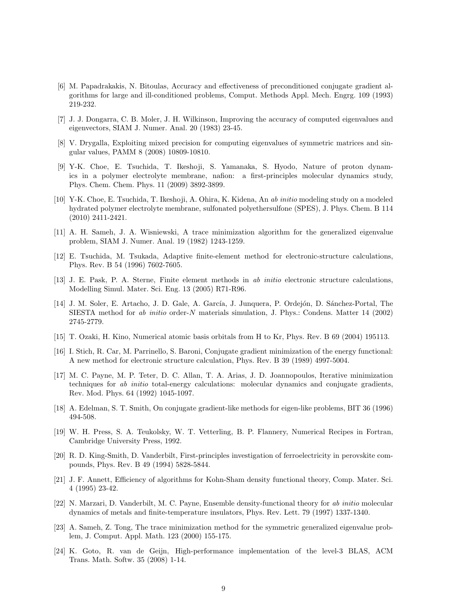- <span id="page-8-0"></span>[6] M. Papadrakakis, N. Bitoulas, Accuracy and effectiveness of preconditioned conjugate gradient algorithms for large and ill-conditioned problems, Comput. Methods Appl. Mech. Engrg. 109 (1993) 219-232.
- <span id="page-8-1"></span>[7] J. J. Dongarra, C. B. Moler, J. H. Wilkinson, Improving the accuracy of computed eigenvalues and eigenvectors, SIAM J. Numer. Anal. 20 (1983) 23-45.
- <span id="page-8-2"></span>[8] V. Drygalla, Exploiting mixed precision for computing eigenvalues of symmetric matrices and singular values, PAMM 8 (2008) 10809-10810.
- <span id="page-8-3"></span>[9] Y-K. Choe, E. Tsuchida, T. Ikeshoji, S. Yamanaka, S. Hyodo, Nature of proton dynamics in a polymer electrolyte membrane, nafion: a first-principles molecular dynamics study, Phys. Chem. Chem. Phys. 11 (2009) 3892-3899.
- <span id="page-8-4"></span>[10] Y-K. Choe, E. Tsuchida, T. Ikeshoji, A. Ohira, K. Kidena, An *ab initio* modeling study on a modeled hydrated polymer electrolyte membrane, sulfonated polyethersulfone (SPES), J. Phys. Chem. B 114 (2010) 2411-2421.
- <span id="page-8-5"></span>[11] A. H. Sameh, J. A. Wisniewski, A trace minimization algorithm for the generalized eigenvalue problem, SIAM J. Numer. Anal. 19 (1982) 1243-1259.
- <span id="page-8-6"></span>[12] E. Tsuchida, M. Tsukada, Adaptive finite-element method for electronic-structure calculations, Phys. Rev. B 54 (1996) 7602-7605.
- <span id="page-8-7"></span>[13] J. E. Pask, P. A. Sterne, Finite element methods in *ab initio* electronic structure calculations, Modelling Simul. Mater. Sci. Eng. 13 (2005) R71-R96.
- <span id="page-8-8"></span>[14] J. M. Soler, E. Artacho, J. D. Gale, A. García, J. Junquera, P. Ordejón, D. Sánchez-Portal, The SIESTA method for *ab initio* order-N materials simulation, J. Phys.: Condens. Matter 14 (2002) 2745-2779.
- <span id="page-8-9"></span>[15] T. Ozaki, H. Kino, Numerical atomic basis orbitals from H to Kr, Phys. Rev. B 69 (2004) 195113.
- <span id="page-8-10"></span>[16] I. Stich, R. Car, M. Parrinello, S. Baroni, Conjugate gradient minimization of the energy functional: A new method for electronic structure calculation, Phys. Rev. B 39 (1989) 4997-5004.
- <span id="page-8-11"></span>[17] M. C. Payne, M. P. Teter, D. C. Allan, T. A. Arias, J. D. Joannopoulos, Iterative minimization techniques for *ab initio* total-energy calculations: molecular dynamics and conjugate gradients, Rev. Mod. Phys. 64 (1992) 1045-1097.
- <span id="page-8-12"></span>[18] A. Edelman, S. T. Smith, On conjugate gradient-like methods for eigen-like problems, BIT 36 (1996) 494-508.
- <span id="page-8-13"></span>[19] W. H. Press, S. A. Teukolsky, W. T. Vetterling, B. P. Flannery, Numerical Recipes in Fortran, Cambridge University Press, 1992.
- <span id="page-8-14"></span>[20] R. D. King-Smith, D. Vanderbilt, First-principles investigation of ferroelectricity in perovskite compounds, Phys. Rev. B 49 (1994) 5828-5844.
- <span id="page-8-15"></span>[21] J. F. Annett, Efficiency of algorithms for Kohn-Sham density functional theory, Comp. Mater. Sci. 4 (1995) 23-42.
- <span id="page-8-16"></span>[22] N. Marzari, D. Vanderbilt, M. C. Payne, Ensemble density-functional theory for *ab initio* molecular dynamics of metals and finite-temperature insulators, Phys. Rev. Lett. 79 (1997) 1337-1340.
- <span id="page-8-17"></span>[23] A. Sameh, Z. Tong, The trace minimization method for the symmetric generalized eigenvalue problem, J. Comput. Appl. Math. 123 (2000) 155-175.
- <span id="page-8-18"></span>[24] K. Goto, R. van de Geijn, High-performance implementation of the level-3 BLAS, ACM Trans. Math. Softw. 35 (2008) 1-14.